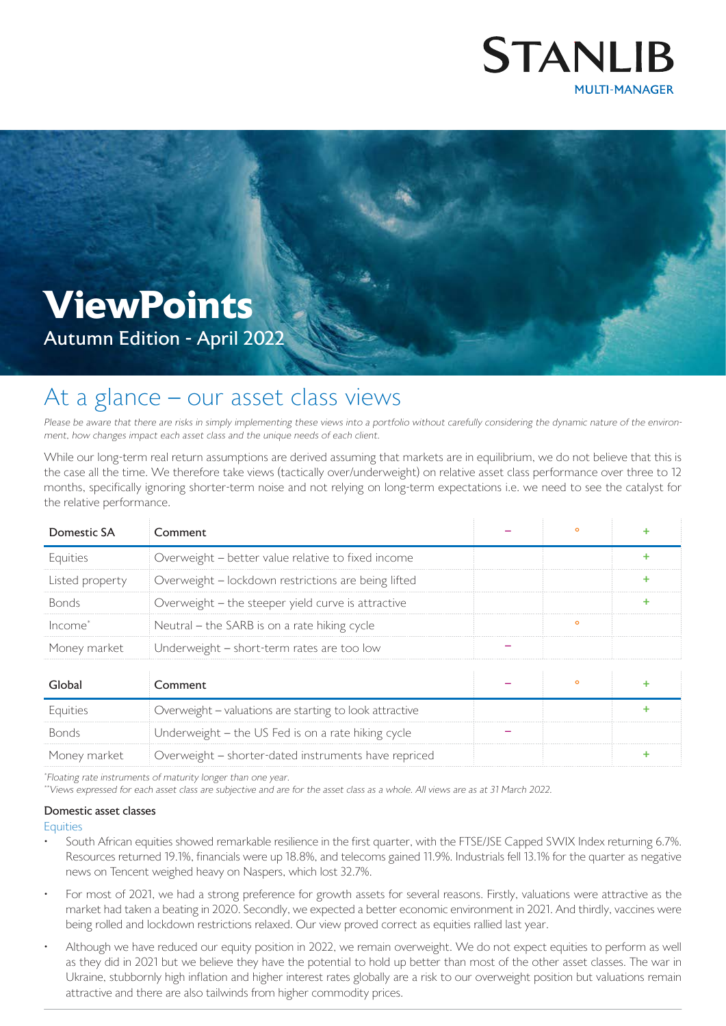

# **ViewPoints**

Autumn Edition - April 2022

# At a glance - our asset class views

Please be aware that there are risks in simply implementing these views into a portfolio without carefully considering the dynamic nature of the environment, how changes impact each asset class and the unique needs of each client.

While our long-term real return assumptions are derived assuming that markets are in equilibrium, we do not believe that this is the case all the time. We therefore take views (tactically over/underweight) on relative asset class performance over three to 12 months, specifically ignoring shorter-term noise and not relying on long-term expectations i.e. we need to see the catalyst for the relative performance.

| Domestic SA         | Comment                                                 | $\circ$ |   |
|---------------------|---------------------------------------------------------|---------|---|
| Equities            | Overweight - better value relative to fixed income      |         | ÷ |
| Listed property     | Overweight - lockdown restrictions are being lifted     |         | ÷ |
| <b>Bonds</b>        | Overweight - the steeper yield curve is attractive      |         | ٠ |
| Income <sup>*</sup> | Neutral – the SARB is on a rate hiking cycle            | $\circ$ |   |
| Money market        | Underweight - short-term rates are too low              |         |   |
|                     |                                                         |         |   |
| Global              | Comment                                                 | $\circ$ | ٠ |
| Equities            | Overweight - valuations are starting to look attractive |         | ÷ |
| <b>Bonds</b>        | Underweight - the US Fed is on a rate hiking cycle      |         |   |
| Money market        | Overweight - shorter-dated instruments have repriced    |         | ٠ |

\* Floating rate instruments of maturity longer than one year.

\*\*Views expressed for each asset class are subjective and are for the asset class as a whole. All views are as at 31 March 2022.

## Domestic asset classes

#### **Equities**

- South African equities showed remarkable resilience in the first quarter, with the FTSE/JSE Capped SWIX Index returning 6.7%. Resources returned 19.1%, financials were up 18.8%, and telecoms gained 11.9%. Industrials fell 13.1% for the quarter as negative news on Tencent weighed heavy on Naspers, which lost 32.7%.
- For most of 2021, we had a strong preference for growth assets for several reasons. Firstly, valuations were attractive as the market had taken a beating in 2020. Secondly, we expected a better economic environment in 2021. And thirdly, vaccines were being rolled and lockdown restrictions relaxed. Our view proved correct as equities rallied last year.
- Although we have reduced our equity position in 2022, we remain overweight. We do not expect equities to perform as well as they did in 2021 but we believe they have the potential to hold up better than most of the other asset classes. The war in Ukraine, stubbornly high inflation and higher interest rates globally are a risk to our overweight position but valuations remain attractive and there are also tailwinds from higher commodity prices.